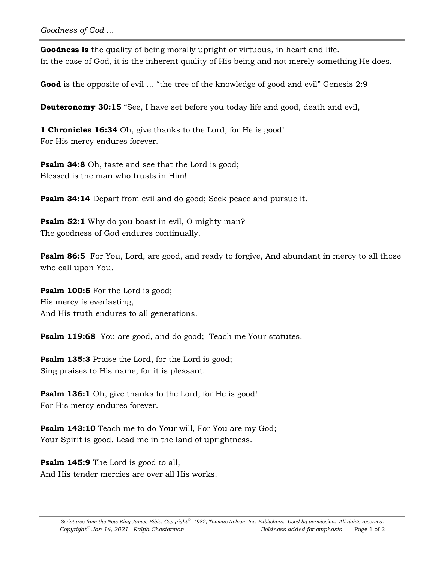**Goodness is** the quality of being morally upright or virtuous, in heart and life. In the case of God, it is the inherent quality of His being and not merely something He does.

**Good** is the opposite of evil ... "the tree of the knowledge of good and evil" Genesis 2:9

**Deuteronomy 30:15** "See, I have set before you today life and good, death and evil,

**1 Chronicles 16:34** Oh, give thanks to the Lord, for He is good! For His mercy endures forever.

**Psalm 34:8** Oh, taste and see that the Lord is good; Blessed is the man who trusts in Him!

**Psalm 34:14** Depart from evil and do good; Seek peace and pursue it.

**Psalm 52:1** Why do you boast in evil, O mighty man? The goodness of God endures continually.

**Psalm 86:5** For You, Lord, are good, and ready to forgive, And abundant in mercy to all those who call upon You.

**Psalm 100:5** For the Lord is good; His mercy is everlasting, And His truth endures to all generations.

**Psalm 119:68** You are good, and do good; Teach me Your statutes.

**Psalm 135:3** Praise the Lord, for the Lord is good; Sing praises to His name, for it is pleasant.

**Psalm 136:1** Oh, give thanks to the Lord, for He is good! For His mercy endures forever.

**Psalm 143:10** Teach me to do Your will, For You are my God; Your Spirit is good. Lead me in the land of uprightness.

**Psalm 145:9** The Lord is good to all, And His tender mercies are over all His works.